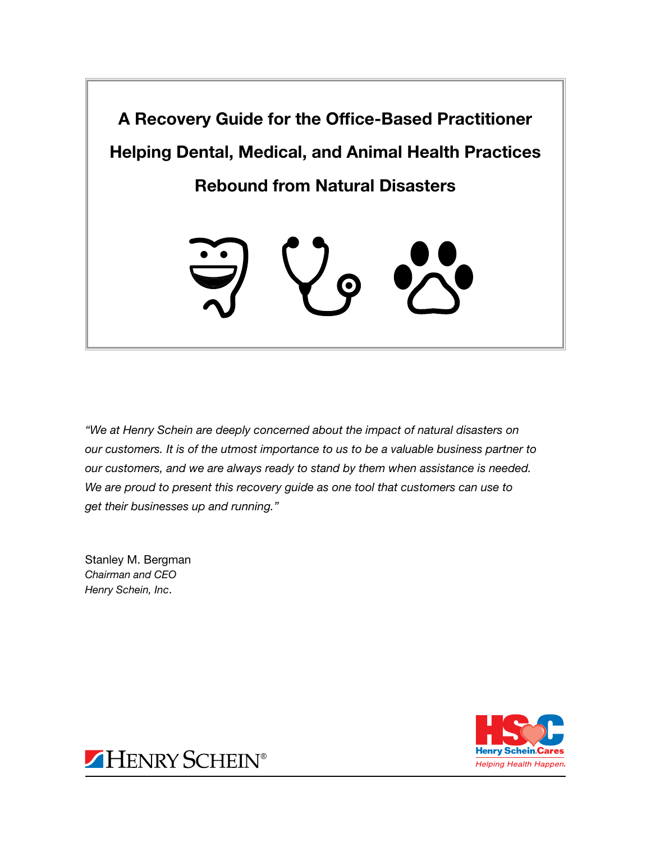

*"We at Henry Schein are deeply concerned about the impact of natural disasters on our customers. It is of the utmost importance to us to be a valuable business partner to our customers, and we are always ready to stand by them when assistance is needed. We are proud to present this recovery guide as one tool that customers can use to get their businesses up and running."* 

Stanley M. Bergman *Chairman and CEO Henry Schein, Inc*.



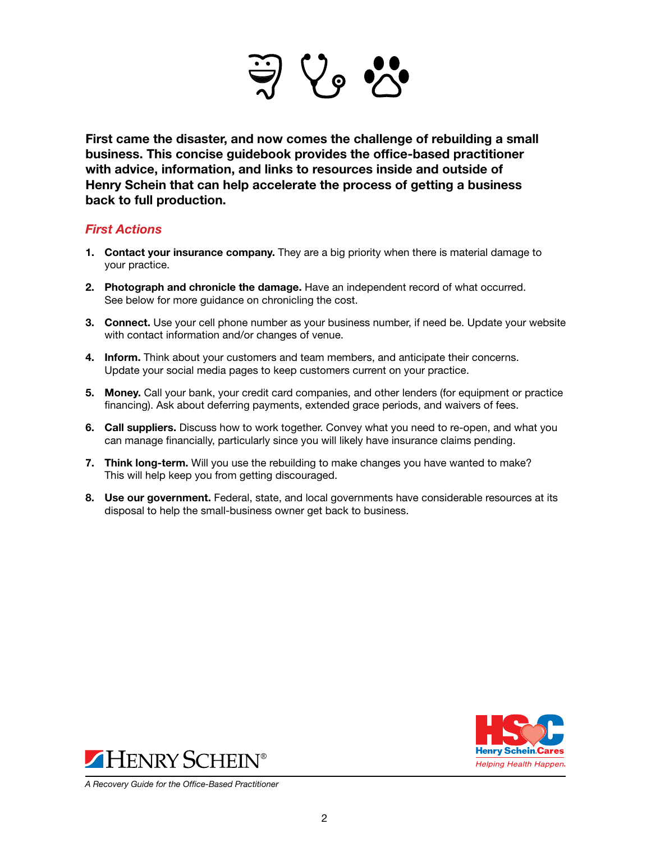

First came the disaster, and now comes the challenge of rebuilding a small business. This concise guidebook provides the office-based practitioner with advice, information, and links to resources inside and outside of Henry Schein that can help accelerate the process of getting a business back to full production.

### *First Actions*

- 1. Contact your insurance company. They are a big priority when there is material damage to your practice.
- 2. Photograph and chronicle the damage. Have an independent record of what occurred. See below for more guidance on chronicling the cost.
- 3. Connect. Use your cell phone number as your business number, if need be. Update your website with contact information and/or changes of venue.
- 4. Inform. Think about your customers and team members, and anticipate their concerns. Update your social media pages to keep customers current on your practice.
- 5. Money. Call your bank, your credit card companies, and other lenders (for equipment or practice financing). Ask about deferring payments, extended grace periods, and waivers of fees.
- 6. Call suppliers. Discuss how to work together. Convey what you need to re-open, and what you can manage financially, particularly since you will likely have insurance claims pending.
- 7. Think long-term. Will you use the rebuilding to make changes you have wanted to make? This will help keep you from getting discouraged.
- 8. Use our government. Federal, state, and local governments have considerable resources at its disposal to help the small-business owner get back to business.





*A Recovery Guide for the Office-Based Practitioner*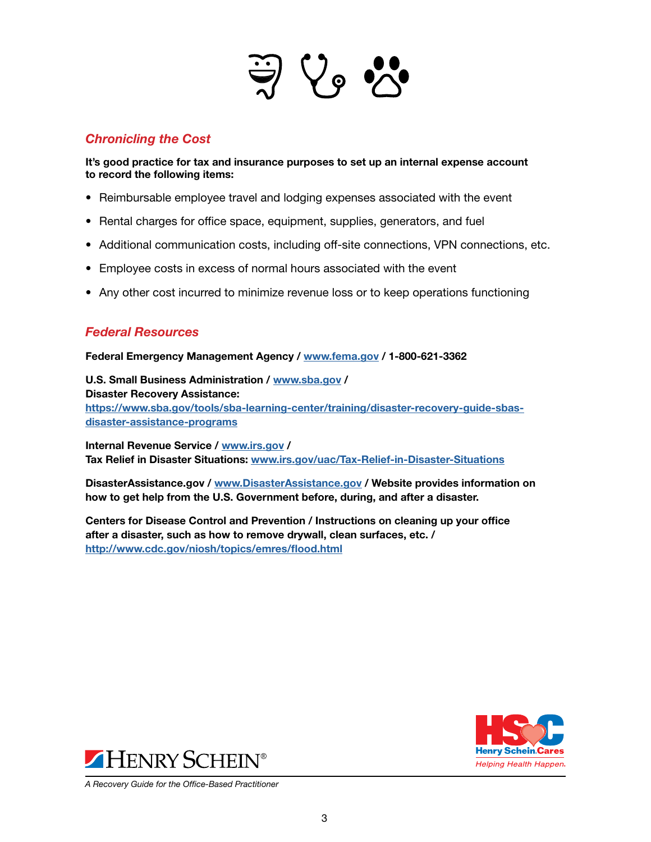

# *Chronicling the Cost*

It's good practice for tax and insurance purposes to set up an internal expense account to record the following items:

- Reimbursable employee travel and lodging expenses associated with the event
- Rental charges for office space, equipment, supplies, generators, and fuel
- Additional communication costs, including off-site connections, VPN connections, etc.
- Employee costs in excess of normal hours associated with the event
- Any other cost incurred to minimize revenue loss or to keep operations functioning

# *Federal Resources*

Federal Emergency Management Agency / [www.fema.gov](http://www.fema.gov) / 1-800-621-3362

U.S. Small Business Administration / [www.sba.gov](http://www.sba.gov) / Disaster Recovery Assistance: [https://www.sba.gov/tools/sba-learning-center/training/disaster-recovery-guide-sbas](https://www.sba.gov/tools/sba-learning-center/training/disaster-recovery-guide-sbas-disaster-assistance-programs)[disaster-assistance-programs](https://www.sba.gov/tools/sba-learning-center/training/disaster-recovery-guide-sbas-disaster-assistance-programs)

Internal Revenue Service / [www.irs.gov](http://www.irs.gov) / Tax Relief in Disaster Situations: [www.irs.gov/uac/Tax-Relief-in-Disaster-Situations](http://www.irs.gov/uac/Tax-Relief-in-Disaster-Situations)

DisasterAssistance.gov / [www.DisasterAssistance.gov](http://www.DisasterAssistance.gov) / Website provides information on how to get help from the U.S. Government before, during, and after a disaster.

Centers for Disease Control and Prevention / Instructions on cleaning up your office after a disaster, such as how to remove drywall, clean surfaces, etc. / [http://www.cdc.gov/niosh/topics/emres/flood.html](https://www.cdc.gov/niosh/topics/emres/flood.html)





*A Recovery Guide for the Office-Based Practitioner*